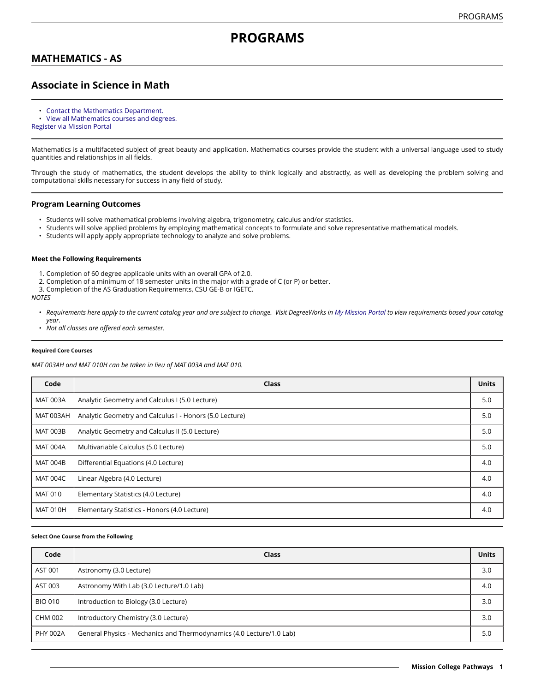# **PROGRAMS**

## **MATHEMATICS - AS**

## **Associate in Science in Math**

- [Contact the Mathematics Department.](https://missioncollege.edu/depts/math/)
- View all [Mathematics](http://majors.missioncollege.edu/current/courses/mat.html) courses and degrees.
- [Register via Mission Portal](https://web.wvm.edu/)

Mathematics is a multifaceted subject of great beauty and application. Mathematics courses provide the student with a universal language used to study quantities and relationships in all fields.

Through the study of mathematics, the student develops the ability to think logically and abstractly, as well as developing the problem solving and computational skills necessary for success in any field of study.

### **Program Learning Outcomes**

- Students will solve mathematical problems involving algebra, trigonometry, calculus and/or statistics.
- Students will solve applied problems by employing mathematical concepts to formulate and solve representative mathematical models.<br>• Students will apply apply appropriate technology to apalyze and solve problems.
- Students will apply apply appropriate technology to analyze and solve problems.

### **Meet the Following Requirements**

- 1. Completion of 60 degree applicable units with an overall GPA of 2.0.
- 2. Completion of a minimum of 18 semester units in the major with a grade of C (or P) or better.
- 3. Completion of the AS Graduation Requirements, CSU GE-B or IGETC.

### *NOTES*

- Requirements here apply to the current catalog year and are subject to change. Visit DegreeWorks in [My Mission Portal](https://wvmccd.sharepoint.com/sites/MCPortal) to view requirements based your catalog *year.*
- *Not all classes are offered each semester.*

#### **Required Core Courses**

*MAT 003AH and MAT 010H can be taken in lieu of MAT 003A and MAT 010.*

| Code            | <b>Class</b>                                            | <b>Units</b> |
|-----------------|---------------------------------------------------------|--------------|
| <b>MAT 003A</b> | Analytic Geometry and Calculus I (5.0 Lecture)          | 5.0          |
| MAT 003AH       | Analytic Geometry and Calculus I - Honors (5.0 Lecture) | 5.0          |
| <b>MAT 003B</b> | Analytic Geometry and Calculus II (5.0 Lecture)         | 5.0          |
| <b>MAT 004A</b> | Multivariable Calculus (5.0 Lecture)                    | 5.0          |
| <b>MAT 004B</b> | Differential Equations (4.0 Lecture)                    | 4.0          |
| <b>MAT 004C</b> | Linear Algebra (4.0 Lecture)                            | 4.0          |
| <b>MAT 010</b>  | Elementary Statistics (4.0 Lecture)                     | 4.0          |
| <b>MAT 010H</b> | Elementary Statistics - Honors (4.0 Lecture)            | 4.0          |

### **Select One Course from the Following**

| Code            | Class                                                                | <b>Units</b> |
|-----------------|----------------------------------------------------------------------|--------------|
| AST 001         | Astronomy (3.0 Lecture)                                              | 3.0          |
| AST 003         | Astronomy With Lab (3.0 Lecture/1.0 Lab)                             | 4.0          |
| <b>BIO 010</b>  | Introduction to Biology (3.0 Lecture)                                | 3.0          |
| <b>CHM 002</b>  | Introductory Chemistry (3.0 Lecture)                                 | 3.0          |
| <b>PHY 002A</b> | General Physics - Mechanics and Thermodynamics (4.0 Lecture/1.0 Lab) | 5.0          |